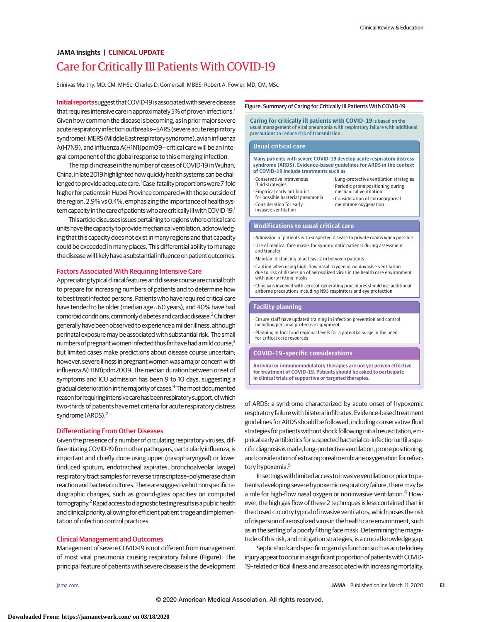# Care for Critically Ill Patients With COVID-19 **JAMA Insights | CLINICAL UPDATE**

Srinivas Murthy, MD, CM, MHSc; Charles D. Gomersall, MBBS; Robert A. Fowler, MD, CM, MSc

**Initial reports** suggest that COVID-19 is associated with severe disease that requires intensive care in approximately 5% of proven infections.<sup>1</sup> Given how common the disease is becoming, as in priormajor severe acute respiratory infection outbreaks-SARS (severe acute respiratory syndrome), MERS (Middle East respiratory syndrome), avian influenza A(H7N9), and influenza A(H1N1)pdm09—critical care will be an integral component of the global response to this emerging infection.

The rapid increase in the number of cases of COVID-19 inWuhan, China, in late 2019 highlighted how quickly health systems can be challenged to provide adequate care.<sup>1</sup> Case-fatality proportions were 7-fold higher for patients in Hubei Province compared with those outside of the region, 2.9% vs0.4%, emphasizing the importance of health system capacity in the care of patients who are critically ill with COVID-19.<sup>1</sup>

This article discusses issues pertaining to regions where critical care units have the capacity to provide mechanical ventilation, acknowledging that this capacity does not exist in many regions and that capacity could be exceeded in many places. This differential ability to manage the disease will likely have a substantial influence on patient outcomes.

## Factors Associated With Requiring Intensive Care

Appreciating typical clinical features and disease course are crucial both to prepare for increasing numbers of patients and to determine how to best treat infected persons. Patientswho have required critical care have tended to be older (median age ≈60 years), and 40% have had comorbid conditions, commonly diabetes and cardiac disease.<sup>2</sup> Children generally have been observed toexperienceamilder illness,although perinatal exposure may be associated with substantial risk. The small numbers of pregnant women infected thus far have had a mild course, $3$ but limited cases make predictions about disease course uncertain; however, severe illness in pregnant women was amajor concern with influenza A(H1N1)pdm2009. The median duration between onset of symptoms and ICU admission has been 9 to 10 days, suggesting a gradual deterioration in themajority of cases.4 Themost documented reason for requiring intensive care has been respiratory support, of which two-thirds of patients have met criteria for acute respiratory distress syndrome (ARDS).<sup>2</sup>

## Differentiating From Other Diseases

Given the presence of a number of circulating respiratory viruses, differentiating COVID-19 from other pathogens, particularly influenza, is important and chiefly done using upper (nasopharyngeal) or lower (induced sputum, endotracheal aspirates, bronchoalveolar lavage) respiratory tract samples for reverse transcriptase–polymerase chain reaction and bacterial cultures. There are suggestive but nonspecific radiographic changes, such as ground-glass opacities on computed tomography.<sup>2</sup> Rapid access to diagnostic testing results is a public health and clinical priority, allowing for efficient patient triage and implementation of infection control practices.

# Clinical Management and Outcomes

Management of severe COVID-19 is not different from management of most viral pneumonia causing respiratory failure (Figure). The principal feature of patients with severe disease is the development

#### Figure. Summary of Caring for Critically Ill Patients With COVID-19

**Caring for critically ill patients with COVID-19** is based on the usual management of viral pneumonia with respiratory failure with additional precautions to reduce risk of transmission.

#### **Usual critical care**

#### **Many patients with severe COVID-19 develop acute respiratory distress syndrome (ARDS). Evidence-based guidelines for ARDS in the context of COVID-19 include treatments such as**

- •Conservative intravenous fluid strategies
- Empirical early antibiotics for possible bacterial pneumonia • Consideration for early invasive ventilation
- Lung-protective ventilation strategies • Periodic prone positioning during mechanical ventilation • Consideration of extracorporeal membrane oxygenation

### **Modifications to usual critical care**

- Admission of patients with suspected disease to private rooms when possible • Use of medical face masks for symptomatic patients during assessment and transfer
- Maintain distancing of at least 2 m between patients
- Caution when using high-flow nasal oxygen or noninvasive ventilation due to risk of dispersion of aerosolized virus in the health care environment with poorly fitting masks
- Clinicians involved with aerosol-generating procedures should use additional airborne precautions including N95 respirators and eye protection

## **Facility planning**

- Ensure staff have updated training in infection prevention and control including personal protective equipment
- Planning at local and regional levels for a potential surge in the need for critical care resources

## **COVID-19–specific considerations**

**Antiviral or immunomodulatory therapies are not yet proven effective for treatment of COVID-19. Patients should be asked to participate in clinical trials of supportive or targeted therapies.**

of ARDS: a syndrome characterized by acute onset of hypoxemic respiratory failure with bilateral infiltrates. Evidence-based treatment guidelines for ARDS should be followed, including conservative fluid strategies for patients without shock following initial resuscitation, empirical early antibiotics for suspected bacterial co-infection until a specific diagnosis is made, lung-protective ventilation, prone positioning, and consideration of extracorporeal membrane oxygenation for refractory hypoxemia.<sup>5</sup>

In settings with limited access to invasive ventilation or prior to patients developing severe hypoxemic respiratory failure, there may be a role for high-flow nasal oxygen or noninvasive ventilation.<sup>6</sup> However, the high gas flow of these 2 techniques is less contained than in the closed circuitry typical of invasive ventilators, which poses the risk of dispersion of aerosolized virus in the health care environment, such as in the setting of a poorly fitting face mask. Determining the magnitude of this risk, and mitigation strategies, is a crucial knowledge gap.

Septic shock and specific organ dysfunction such as acute kidney injury appear to occur in a significant proportion of patients with COVID-19-related critical illness and are associated with increasing mortality,